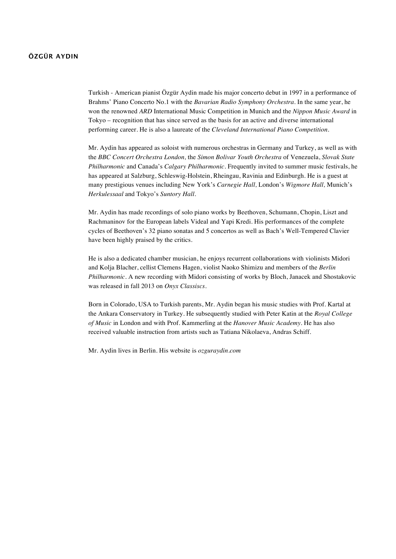## **ÖZGÜR AYDIN**

Turkish - American pianist Özgür Aydin made his major concerto debut in 1997 in a performance of Brahms' Piano Concerto No.1 with the *Bavarian Radio Symphony Orchestra.* In the same year, he won the renowned *ARD* International Music Competition in Munich and the *Nippon Music Award* in Tokyo – recognition that has since served as the basis for an active and diverse international performing career. He is also a laureate of the *Cleveland International Piano Competition.*

Mr. Aydin has appeared as soloist with numerous orchestras in Germany and Turkey, as well as with the *BBC Concert Orchestra London,* the *Simon Bolivar Youth Orchestra* of Venezuela, *Slovak State Philharmonic* and Canada's *Calgary Philharmonic.* Frequently invited to summer music festivals, he has appeared at Salzburg, Schleswig-Holstein, Rheingau, Ravinia and Edinburgh. He is a guest at many prestigious venues including New York's *Carnegie Hall,* London's *Wigmore Hall,* Munich's *Herkulessaal* and Tokyo's *Suntory Hall.*

Mr. Aydin has made recordings of solo piano works by Beethoven, Schumann, Chopin, Liszt and Rachmaninov for the European labels Videal and Yapi Kredi. His performances of the complete cycles of Beethoven's 32 piano sonatas and 5 concertos as well as Bach's Well-Tempered Clavier have been highly praised by the critics.

He is also a dedicated chamber musician, he enjoys recurrent collaborations with violinists Midori and Kolja Blacher, cellist Clemens Hagen, violist Naoko Shimizu and members of the *Berlin Philharmonic.* A new recording with Midori consisting of works by Bloch, Janacek and Shostakovic was released in fall 2013 on *Onyx Classiscs.*

Born in Colorado, USA to Turkish parents, Mr. Aydin began his music studies with Prof. Kartal at the Ankara Conservatory in Turkey. He subsequently studied with Peter Katin at the *Royal College of Music* in London and with Prof. Kammerling at the *Hanover Music Academy*. He has also received valuable instruction from artists such as Tatiana Nikolaeva, Andras Schiff.

Mr. Aydin lives in Berlin. His website is *ozguraydin.com*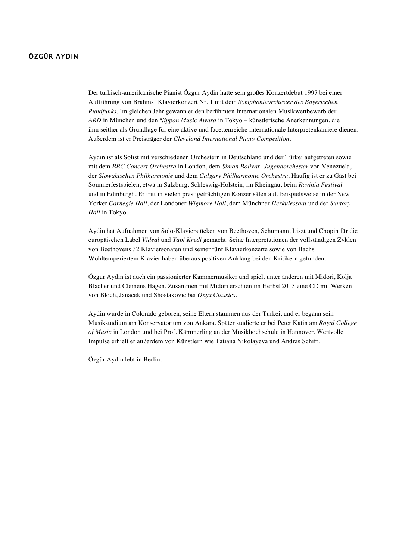## **ÖZGÜR AYDIN**

Der türkisch-amerikanische Pianist Özgür Aydin hatte sein großes Konzertdebüt 1997 bei einer Aufführung von Brahms' Klavierkonzert Nr. 1 mit dem *Symphonieorchester des Bayerischen Rundfunks*. Im gleichen Jahr gewann er den berühmten Internationalen Musikwettbewerb der *ARD* in München und den *Nippon Music Award* in Tokyo – künstlerische Anerkennungen, die ihm seither als Grundlage für eine aktive und facettenreiche internationale Interpretenkarriere dienen. Außerdem ist er Preisträger der *Cleveland International Piano Competition.*

Aydin ist als Solist mit verschiedenen Orchestern in Deutschland und der Türkei aufgetreten sowie mit dem *BBC Concert Orchestra* in London, dem *Simon Bolivar- Jugendorchester* von Venezuela, der *Slowakischen Philharmonie* und dem *Calgary Philharmonic Orchestra*. Häufig ist er zu Gast bei Sommerfestspielen, etwa in Salzburg, Schleswig-Holstein, im Rheingau, beim *Ravinia Festival* und in Edinburgh. Er tritt in vielen prestigeträchtigen Konzertsälen auf, beispielsweise in der New Yorker *Carnegie Hall*, der Londoner *Wigmore Hall*, dem Münchner *Herkulessaal* und der *Suntory Hall* in Tokyo.

Aydin hat Aufnahmen von Solo-Klavierstücken von Beethoven, Schumann, Liszt und Chopin für die europäischen Label *Videal* und *Yapi Kredi* gemacht. Seine Interpretationen der vollständigen Zyklen von Beethovens 32 Klaviersonaten und seiner fünf Klavierkonzerte sowie von Bachs Wohltemperiertem Klavier haben überaus positiven Anklang bei den Kritikern gefunden.

Özgür Aydin ist auch ein passionierter Kammermusiker und spielt unter anderen mit Midori, Kolja Blacher und Clemens Hagen. Zusammen mit Midori erschien im Herbst 2013 eine CD mit Werken von Bloch, Janacek und Shostakovic bei *Onyx Classics.*

Aydin wurde in Colorado geboren, seine Eltern stammen aus der Türkei, und er begann sein Musikstudium am Konservatorium von Ankara. Später studierte er bei Peter Katin am *Royal College of Music* in London und bei Prof. Kämmerling an der Musikhochschule in Hannover. Wertvolle Impulse erhielt er außerdem von Künstlern wie Tatiana Nikolayeva und Andras Schiff.

Özgür Aydin lebt in Berlin.